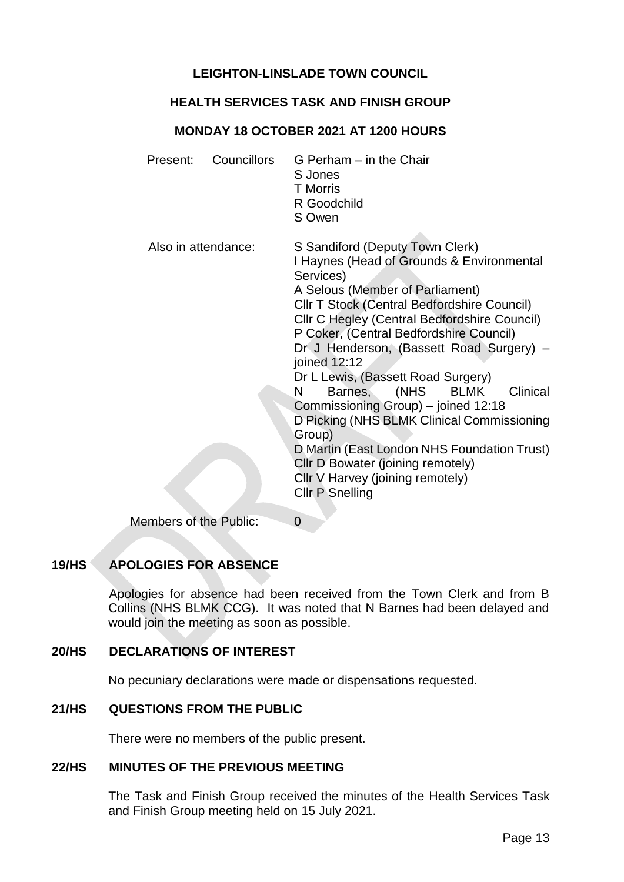# **LEIGHTON-LINSLADE TOWN COUNCIL**

### **HEALTH SERVICES TASK AND FINISH GROUP**

## **MONDAY 18 OCTOBER 2021 AT 1200 HOURS**

| Present:               | Councillors | G Perham – in the Chair<br>S Jones<br><b>T</b> Morris<br>R Goodchild<br>S Owen                                                                                                                                                                                                                                                                                                                                                                                                                                                                                                                                                                                                   |
|------------------------|-------------|----------------------------------------------------------------------------------------------------------------------------------------------------------------------------------------------------------------------------------------------------------------------------------------------------------------------------------------------------------------------------------------------------------------------------------------------------------------------------------------------------------------------------------------------------------------------------------------------------------------------------------------------------------------------------------|
| Also in attendance:    |             | S Sandiford (Deputy Town Clerk)<br>I Haynes (Head of Grounds & Environmental<br>Services)<br>A Selous (Member of Parliament)<br><b>CIIr T Stock (Central Bedfordshire Council)</b><br>Cllr C Hegley (Central Bedfordshire Council)<br>P Coker, (Central Bedfordshire Council)<br>Dr J Henderson, (Bassett Road Surgery) -<br>joined 12:12<br>Dr L Lewis, (Bassett Road Surgery)<br>Barnes, (NHS<br>Clinical<br><b>BLMK</b><br>N<br>Commissioning Group) – joined 12:18<br>D Picking (NHS BLMK Clinical Commissioning<br>Group)<br>D Martin (East London NHS Foundation Trust)<br>Cllr D Bowater (joining remotely)<br>Cllr V Harvey (joining remotely)<br><b>Cllr P Snelling</b> |
| Mambara of the Dublic: |             | <sup>n</sup>                                                                                                                                                                                                                                                                                                                                                                                                                                                                                                                                                                                                                                                                     |

Members of the Public: 0

# **19/HS APOLOGIES FOR ABSENCE**

Apologies for absence had been received from the Town Clerk and from B Collins (NHS BLMK CCG). It was noted that N Barnes had been delayed and would join the meeting as soon as possible.

# **20/HS DECLARATIONS OF INTEREST**

No pecuniary declarations were made or dispensations requested.

# **21/HS QUESTIONS FROM THE PUBLIC**

There were no members of the public present.

# **22/HS MINUTES OF THE PREVIOUS MEETING**

The Task and Finish Group received the minutes of the Health Services Task and Finish Group meeting held on 15 July 2021.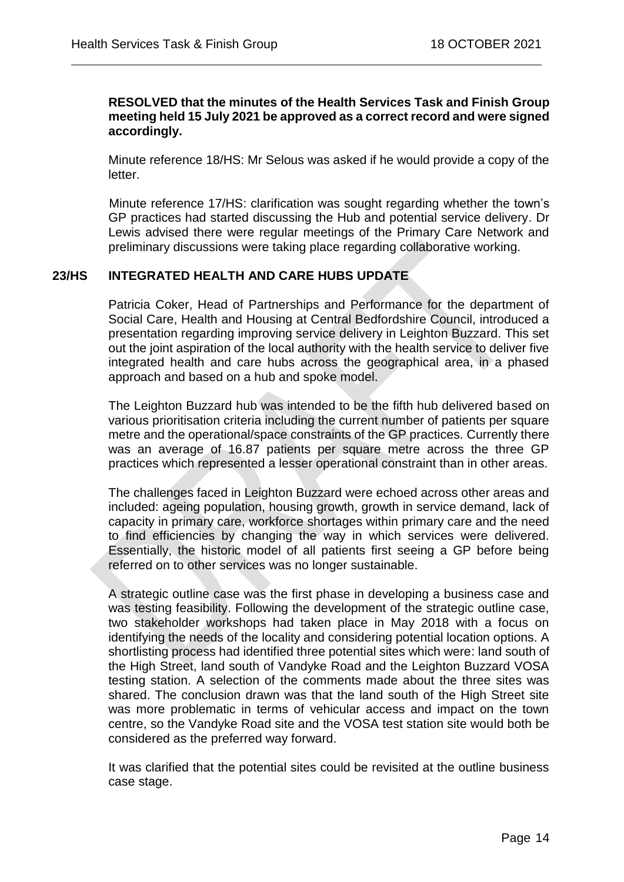#### **RESOLVED that the minutes of the Health Services Task and Finish Group meeting held 15 July 2021 be approved as a correct record and were signed accordingly.**

 $\overline{a}$ 

Minute reference 18/HS: Mr Selous was asked if he would provide a copy of the letter.

Minute reference 17/HS: clarification was sought regarding whether the town's GP practices had started discussing the Hub and potential service delivery. Dr Lewis advised there were regular meetings of the Primary Care Network and preliminary discussions were taking place regarding collaborative working.

## **23/HS INTEGRATED HEALTH AND CARE HUBS UPDATE**

Patricia Coker, Head of Partnerships and Performance for the department of Social Care, Health and Housing at Central Bedfordshire Council, introduced a presentation regarding improving service delivery in Leighton Buzzard. This set out the joint aspiration of the local authority with the health service to deliver five integrated health and care hubs across the geographical area, in a phased approach and based on a hub and spoke model.

The Leighton Buzzard hub was intended to be the fifth hub delivered based on various prioritisation criteria including the current number of patients per square metre and the operational/space constraints of the GP practices. Currently there was an average of 16.87 patients per square metre across the three GP practices which represented a lesser operational constraint than in other areas.

The challenges faced in Leighton Buzzard were echoed across other areas and included: ageing population, housing growth, growth in service demand, lack of capacity in primary care, workforce shortages within primary care and the need to find efficiencies by changing the way in which services were delivered. Essentially, the historic model of all patients first seeing a GP before being referred on to other services was no longer sustainable.

A strategic outline case was the first phase in developing a business case and was testing feasibility. Following the development of the strategic outline case, two stakeholder workshops had taken place in May 2018 with a focus on identifying the needs of the locality and considering potential location options. A shortlisting process had identified three potential sites which were: land south of the High Street, land south of Vandyke Road and the Leighton Buzzard VOSA testing station. A selection of the comments made about the three sites was shared. The conclusion drawn was that the land south of the High Street site was more problematic in terms of vehicular access and impact on the town centre, so the Vandyke Road site and the VOSA test station site would both be considered as the preferred way forward.

It was clarified that the potential sites could be revisited at the outline business case stage.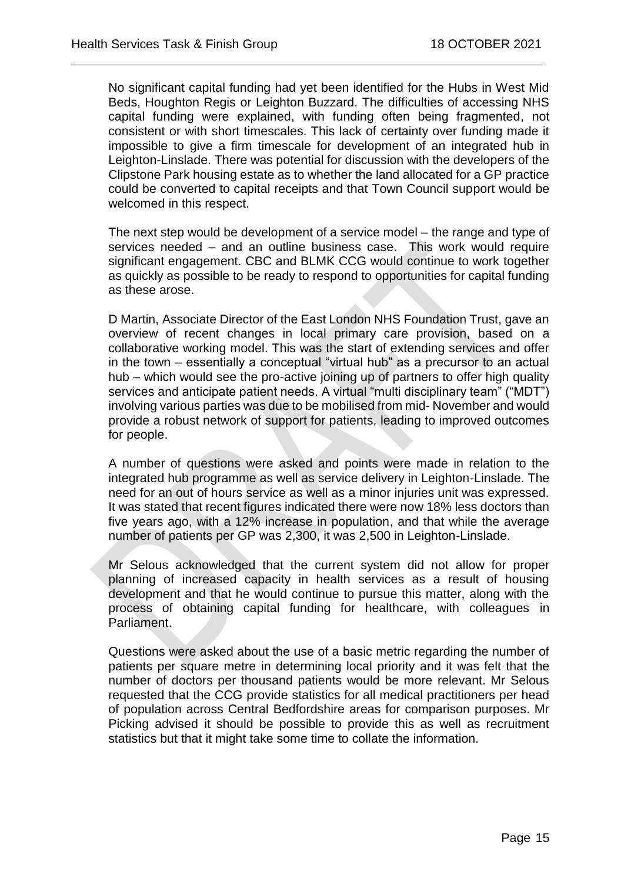No significant capital funding had yet been identified for the Hubs in West Mid Beds, Houghton Regis or Leighton Buzzard. The difficulties of accessing NHS capital funding were explained, with funding often being fragmented, not consistent or with short timescales. This lack of certainty over funding made it impossible to give a firm timescale for development of an integrated hub in Leighton-Linslade. There was potential for discussion with the developers of the Clipstone Park housing estate as to whether the land allocated for a GP practice could be converted to capital receipts and that Town Council support would be welcomed in this respect.

 $\overline{a}$ 

The next step would be development of a service model – the range and type of services needed – and an outline business case. This work would require significant engagement. CBC and BLMK CCG would continue to work together as quickly as possible to be ready to respond to opportunities for capital funding as these arose.

D Martin, Associate Director of the East London NHS Foundation Trust, gave an overview of recent changes in local primary care provision, based on a collaborative working model. This was the start of extending services and offer in the town – essentially a conceptual "virtual hub" as a precursor to an actual hub – which would see the pro-active joining up of partners to offer high quality services and anticipate patient needs. A virtual "multi disciplinary team" ("MDT") involving various parties was due to be mobilised from mid- November and would provide a robust network of support for patients, leading to improved outcomes for people.

A number of questions were asked and points were made in relation to the integrated hub programme as well as service delivery in Leighton-Linslade. The need for an out of hours service as well as a minor injuries unit was expressed. It was stated that recent figures indicated there were now 18% less doctors than five years ago, with a 12% increase in population, and that while the average number of patients per GP was 2,300, it was 2,500 in Leighton-Linslade.

Mr Selous acknowledged that the current system did not allow for proper planning of increased capacity in health services as a result of housing development and that he would continue to pursue this matter, along with the process of obtaining capital funding for healthcare, with colleagues in Parliament.

Questions were asked about the use of a basic metric regarding the number of patients per square metre in determining local priority and it was felt that the number of doctors per thousand patients would be more relevant. Mr Selous requested that the CCG provide statistics for all medical practitioners per head of population across Central Bedfordshire areas for comparison purposes. Mr Picking advised it should be possible to provide this as well as recruitment statistics but that it might take some time to collate the information.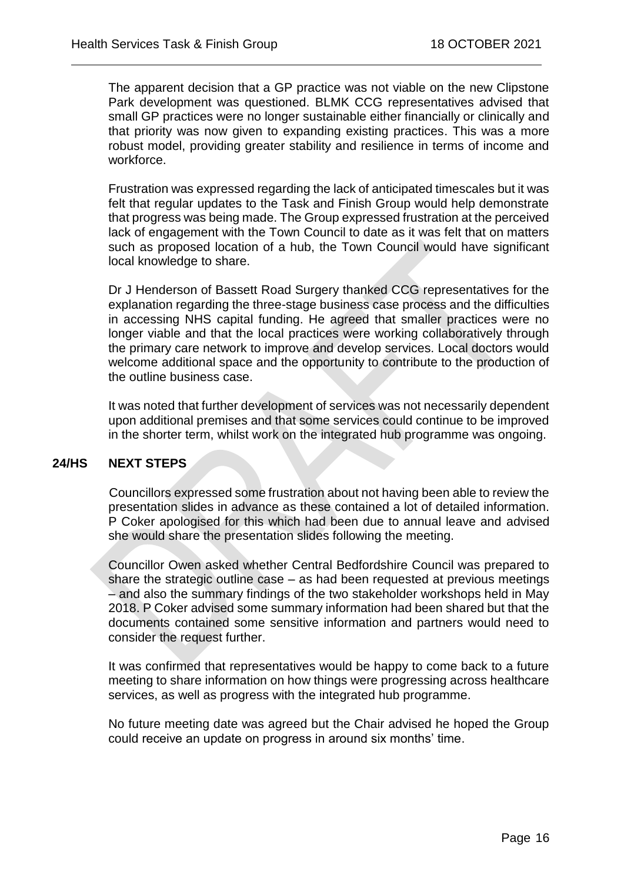The apparent decision that a GP practice was not viable on the new Clipstone Park development was questioned. BLMK CCG representatives advised that small GP practices were no longer sustainable either financially or clinically and that priority was now given to expanding existing practices. This was a more robust model, providing greater stability and resilience in terms of income and workforce.

 $\overline{a}$ 

Frustration was expressed regarding the lack of anticipated timescales but it was felt that regular updates to the Task and Finish Group would help demonstrate that progress was being made. The Group expressed frustration at the perceived lack of engagement with the Town Council to date as it was felt that on matters such as proposed location of a hub, the Town Council would have significant local knowledge to share.

Dr J Henderson of Bassett Road Surgery thanked CCG representatives for the explanation regarding the three-stage business case process and the difficulties in accessing NHS capital funding. He agreed that smaller practices were no longer viable and that the local practices were working collaboratively through the primary care network to improve and develop services. Local doctors would welcome additional space and the opportunity to contribute to the production of the outline business case.

It was noted that further development of services was not necessarily dependent upon additional premises and that some services could continue to be improved in the shorter term, whilst work on the integrated hub programme was ongoing.

## **24/HS NEXT STEPS**

Councillors expressed some frustration about not having been able to review the presentation slides in advance as these contained a lot of detailed information. P Coker apologised for this which had been due to annual leave and advised she would share the presentation slides following the meeting.

Councillor Owen asked whether Central Bedfordshire Council was prepared to share the strategic outline case – as had been requested at previous meetings – and also the summary findings of the two stakeholder workshops held in May 2018. P Coker advised some summary information had been shared but that the documents contained some sensitive information and partners would need to consider the request further.

It was confirmed that representatives would be happy to come back to a future meeting to share information on how things were progressing across healthcare services, as well as progress with the integrated hub programme.

No future meeting date was agreed but the Chair advised he hoped the Group could receive an update on progress in around six months' time.